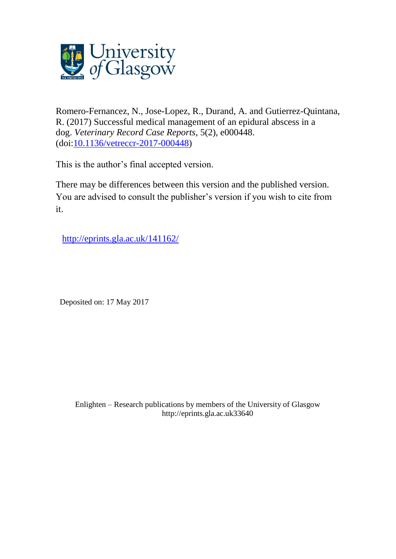

Romero-Fernancez, N., Jose-Lopez, R., Durand, A. and Gutierrez-Quintana, R. (2017) Successful medical management of an epidural abscess in a dog. *Veterinary Record Case Reports*, 5(2), e000448. (doi[:10.1136/vetreccr-2017-000448\)](http://dx.doi.org/10.1136/vetreccr-2017-000448)

This is the author's final accepted version.

There may be differences between this version and the published version. You are advised to consult the publisher's version if you wish to cite from it.

<http://eprints.gla.ac.uk/141162/>

Deposited on: 17 May 2017

Enlighten – Research publications by members of the University of Glasgo[w](http://eprints.gla.ac.uk/) [http://eprints.gla.ac.uk3](http://eprints.gla.ac.uk/)3640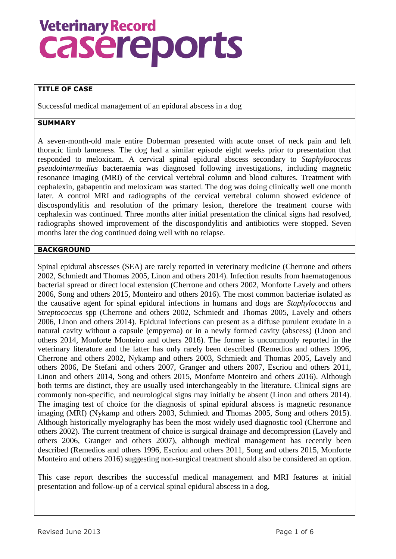# **Veterinary Record** casereports

## **TITLE OF CASE**

Successful medical management of an epidural abscess in a dog

### **SUMMARY**

A seven-month-old male entire Doberman presented with acute onset of neck pain and left thoracic limb lameness. The dog had a similar episode eight weeks prior to presentation that responded to meloxicam. A cervical spinal epidural abscess secondary to *Staphylococcus pseudointermedius* bacteraemia was diagnosed following investigations, including magnetic resonance imaging (MRI) of the cervical vertebral column and blood cultures. Treatment with cephalexin, gabapentin and meloxicam was started. The dog was doing clinically well one month later. A control MRI and radiographs of the cervical vertebral column showed evidence of discospondylitis and resolution of the primary lesion, therefore the treatment course with cephalexin was continued. Three months after initial presentation the clinical signs had resolved, radiographs showed improvement of the discospondylitis and antibiotics were stopped. Seven months later the dog continued doing well with no relapse.

#### **BACKGROUND**

Spinal epidural abscesses (SEA) are rarely reported in veterinary medicine (Cherrone and others 2002, Schmiedt and Thomas 2005, Linon and others 2014). Infection results from haematogenous bacterial spread or direct local extension (Cherrone and others 2002, Monforte Lavely and others 2006, Song and others 2015, Monteiro and others 2016). The most common bacteriae isolated as the causative agent for spinal epidural infections in humans and dogs are *Staphylococcus* and *Streptococcus* spp (Cherrone and others 2002, Schmiedt and Thomas 2005, Lavely and others 2006, Linon and others 2014). Epidural infections can present as a diffuse purulent exudate in a natural cavity without a capsule (empyema) or in a newly formed cavity (abscess) (Linon and others 2014, Monforte Monteiro and others 2016). The former is uncommonly reported in the veterinary literature and the latter has only rarely been described (Remedios and others 1996, Cherrone and others 2002, Nykamp and others 2003, Schmiedt and Thomas 2005, Lavely and others 2006, De Stefani and others 2007, Granger and others 2007, Escriou and others 2011, Linon and others 2014, Song and others 2015, Monforte Monteiro and others 2016). Although both terms are distinct, they are usually used interchangeably in the literature. Clinical signs are commonly non-specific, and neurological signs may initially be absent (Linon and others 2014). The imaging test of choice for the diagnosis of spinal epidural abscess is magnetic resonance imaging (MRI) (Nykamp and others 2003, Schmiedt and Thomas 2005, Song and others 2015). Although historically myelography has been the most widely used diagnostic tool (Cherrone and others 2002). The current treatment of choice is surgical drainage and decompression (Lavely and others 2006, Granger and others 2007), although medical management has recently been described (Remedios and others 1996, Escriou and others 2011, Song and others 2015, Monforte Monteiro and others 2016) suggesting non-surgical treatment should also be considered an option.

This case report describes the successful medical management and MRI features at initial presentation and follow-up of a cervical spinal epidural abscess in a dog.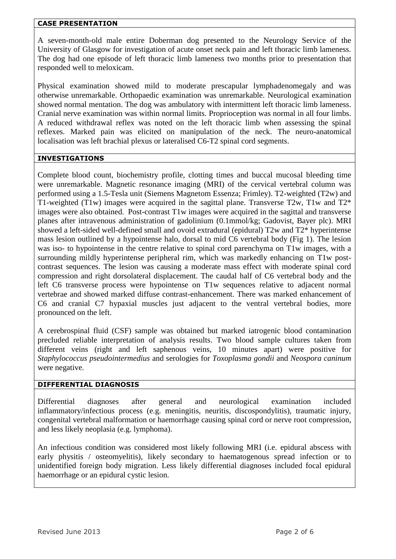### **CASE PRESENTATION**

A seven-month-old male entire Doberman dog presented to the Neurology Service of the University of Glasgow for investigation of acute onset neck pain and left thoracic limb lameness. The dog had one episode of left thoracic limb lameness two months prior to presentation that responded well to meloxicam.

Physical examination showed mild to moderate prescapular lymphadenomegaly and was otherwise unremarkable. Orthopaedic examination was unremarkable. Neurological examination showed normal mentation. The dog was ambulatory with intermittent left thoracic limb lameness. Cranial nerve examination was within normal limits. Proprioception was normal in all four limbs. A reduced withdrawal reflex was noted on the left thoracic limb when assessing the spinal reflexes. Marked pain was elicited on manipulation of the neck. The neuro-anatomical localisation was left brachial plexus or lateralised C6-T2 spinal cord segments.

## **INVESTIGATIONS**

Complete blood count, biochemistry profile, clotting times and buccal mucosal bleeding time were unremarkable. Magnetic resonance imaging (MRI) of the cervical vertebral column was performed using a 1.5-Tesla unit (Siemens Magnetom Essenza; Frimley). T2-weighted (T2w) and T1-weighted (T1w) images were acquired in the sagittal plane. Transverse T2w, T1w and T2\* images were also obtained. Post-contrast T1w images were acquired in the sagittal and transverse planes after intravenous administration of gadolinium (0.1mmol/kg; Gadovist, Bayer plc). MRI showed a left-sided well-defined small and ovoid extradural (epidural) T2w and T2\* hyperintense mass lesion outlined by a hypointense halo, dorsal to mid C6 vertebral body (Fig 1). The lesion was iso- to hypointense in the centre relative to spinal cord parenchyma on T1w images, with a surrounding mildly hyperintense peripheral rim, which was markedly enhancing on T1w postcontrast sequences. The lesion was causing a moderate mass effect with moderate spinal cord compression and right dorsolateral displacement. The caudal half of C6 vertebral body and the left C6 transverse process were hypointense on T1w sequences relative to adjacent normal vertebrae and showed marked diffuse contrast-enhancement. There was marked enhancement of C6 and cranial C7 hypaxial muscles just adjacent to the ventral vertebral bodies, more pronounced on the left.

A cerebrospinal fluid (CSF) sample was obtained but marked iatrogenic blood contamination precluded reliable interpretation of analysis results. Two blood sample cultures taken from different veins (right and left saphenous veins, 10 minutes apart) were positive for *Staphylococcus pseudointermedius* and serologies for *Toxoplasma gondii* and *Neospora caninum* were negative.

## **DIFFERENTIAL DIAGNOSIS**

Differential diagnoses after general and neurological examination included inflammatory/infectious process (e.g. meningitis, neuritis, discospondylitis), traumatic injury, congenital vertebral malformation or haemorrhage causing spinal cord or nerve root compression, and less likely neoplasia (e.g. lymphoma).

An infectious condition was considered most likely following MRI (i.e. epidural abscess with early physitis / osteomyelitis), likely secondary to haematogenous spread infection or to unidentified foreign body migration. Less likely differential diagnoses included focal epidural haemorrhage or an epidural cystic lesion.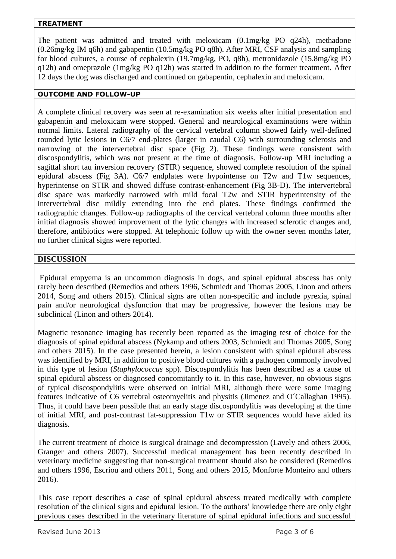## **TREATMENT**

The patient was admitted and treated with meloxicam (0.1mg/kg PO q24h), methadone (0.26mg/kg IM q6h) and gabapentin (10.5mg/kg PO q8h). After MRI, CSF analysis and sampling for blood cultures, a course of cephalexin (19.7mg/kg, PO, q8h), metronidazole (15.8mg/kg PO q12h) and omeprazole (1mg/kg PO q12h) was started in addition to the former treatment. After 12 days the dog was discharged and continued on gabapentin, cephalexin and meloxicam.

## **OUTCOME AND FOLLOW-UP**

A complete clinical recovery was seen at re-examination six weeks after initial presentation and gabapentin and meloxicam were stopped. General and neurological examinations were within normal limits. Lateral radiography of the cervical vertebral column showed fairly well-defined rounded lytic lesions in C6/7 end-plates (larger in caudal C6) with surrounding sclerosis and narrowing of the intervertebral disc space (Fig 2). These findings were consistent with discospondylitis, which was not present at the time of diagnosis. Follow-up MRI including a sagittal short tau inversion recovery (STIR) sequence, showed complete resolution of the spinal epidural abscess (Fig 3A). C6/7 endplates were hypointense on T2w and T1w sequences, hyperintense on STIR and showed diffuse contrast-enhancement (Fig 3B-D). The intervertebral disc space was markedly narrowed with mild focal T2w and STIR hyperintensity of the intervertebral disc mildly extending into the end plates. These findings confirmed the radiographic changes. Follow-up radiographs of the cervical vertebral column three months after initial diagnosis showed improvement of the lytic changes with increased sclerotic changes and, therefore, antibiotics were stopped. At telephonic follow up with the owner seven months later, no further clinical signs were reported.

# **DISCUSSION**

Epidural empyema is an uncommon diagnosis in dogs, and spinal epidural abscess has only rarely been described (Remedios and others 1996, Schmiedt and Thomas 2005, Linon and others 2014, Song and others 2015). Clinical signs are often non-specific and include pyrexia, spinal pain and/or neurological dysfunction that may be progressive, however the lesions may be subclinical (Linon and others 2014).

Magnetic resonance imaging has recently been reported as the imaging test of choice for the diagnosis of spinal epidural abscess (Nykamp and others 2003, Schmiedt and Thomas 2005, Song and others 2015). In the case presented herein, a lesion consistent with spinal epidural abscess was identified by MRI, in addition to positive blood cultures with a pathogen commonly involved in this type of lesion (*Staphylococcus* spp). Discospondylitis has been described as a cause of spinal epidural abscess or diagnosed concomitantly to it. In this case, however, no obvious signs of typical discospondylitis were observed on initial MRI, although there were some imaging features indicative of C6 vertebral osteomyelitis and physitis (Jimenez and O´Callaghan 1995). Thus, it could have been possible that an early stage discospondylitis was developing at the time of initial MRI, and post-contrast fat-suppression T1w or STIR sequences would have aided its diagnosis.

The current treatment of choice is surgical drainage and decompression (Lavely and others 2006, Granger and others 2007). Successful medical management has been recently described in veterinary medicine suggesting that non-surgical treatment should also be considered (Remedios and others 1996, Escriou and others 2011, Song and others 2015, Monforte Monteiro and others 2016).

This case report describes a case of spinal epidural abscess treated medically with complete resolution of the clinical signs and epidural lesion. To the authors' knowledge there are only eight previous cases described in the veterinary literature of spinal epidural infections and successful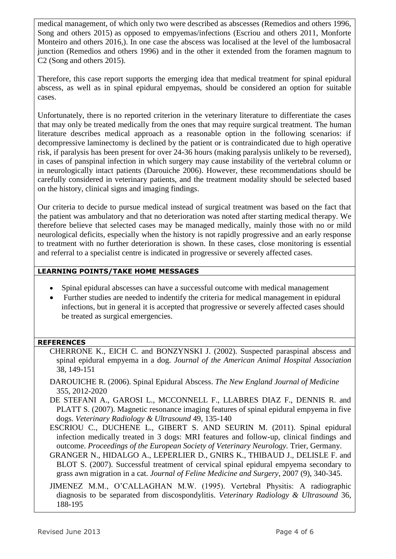medical management, of which only two were described as abscesses (Remedios and others 1996, Song and others 2015) as opposed to empyemas/infections (Escriou and others 2011, Monforte Monteiro and others 2016,). In one case the abscess was localised at the level of the lumbosacral junction (Remedios and others 1996) and in the other it extended from the foramen magnum to C2 (Song and others 2015).

Therefore, this case report supports the emerging idea that medical treatment for spinal epidural abscess, as well as in spinal epidural empyemas, should be considered an option for suitable cases.

Unfortunately, there is no reported criterion in the veterinary literature to differentiate the cases that may only be treated medically from the ones that may require surgical treatment. The human literature describes medical approach as a reasonable option in the following scenarios: if decompressive laminectomy is declined by the patient or is contraindicated due to high operative risk, if paralysis has been present for over 24-36 hours (making paralysis unlikely to be reversed), in cases of panspinal infection in which surgery may cause instability of the vertebral column or in neurologically intact patients (Darouiche 2006). However, these recommendations should be carefully considered in veterinary patients, and the treatment modality should be selected based on the history, clinical signs and imaging findings.

Our criteria to decide to pursue medical instead of surgical treatment was based on the fact that the patient was ambulatory and that no deterioration was noted after starting medical therapy. We therefore believe that selected cases may be managed medically, mainly those with no or mild neurological deficits, especially when the history is not rapidly progressive and an early response to treatment with no further deterioration is shown. In these cases, close monitoring is essential and referral to a specialist centre is indicated in progressive or severely affected cases.

# **LEARNING POINTS/TAKE HOME MESSAGES**

- Spinal epidural abscesses can have a successful outcome with medical management
- Further studies are needed to indentify the criteria for medical management in epidural infections, but in general it is accepted that progressive or severely affected cases should be treated as surgical emergencies.

## **REFERENCES**

- CHERRONE K., EICH C. and BONZYNSKI J. (2002). Suspected paraspinal abscess and spinal epidural empyema in a dog. *Journal of the American Animal Hospital Association*  38, 149-151
- DAROUICHE R. (2006). Spinal Epidural Abscess. *The New England Journal of Medicine* 355, 2012-2020

DE STEFANI A., GAROSI L., MCCONNELL F., LLABRES DIAZ F., DENNIS R. and PLATT S. (2007). Magnetic resonance imaging features of spinal epidural empyema in five dogs. *Veterinary Radiology & Ultrasound* 49, 135-140

ESCRIOU C., DUCHENE L., GIBERT S. AND SEURIN M. (2011). Spinal epidural infection medically treated in 3 dogs: MRI features and follow-up, clinical findings and outcome. *Proceedings of the European Society of Veterinary Neurology.* Trier, Germany.

GRANGER N., HIDALGO A., LEPERLIER D., GNIRS K., THIBAUD J., DELISLE F. and BLOT S. (2007). Successful treatment of cervical spinal epidural empyema secondary to grass awn migration in a cat. *Journal of Feline Medicine and Surgery*, 2007 (9), 340-345.

JIMENEZ M.M., O'CALLAGHAN M.W. (1995). Vertebral Physitis: A radiographic diagnosis to be separated from discospondylitis. *Veterinary Radiology & Ultrasound* 36, 188-195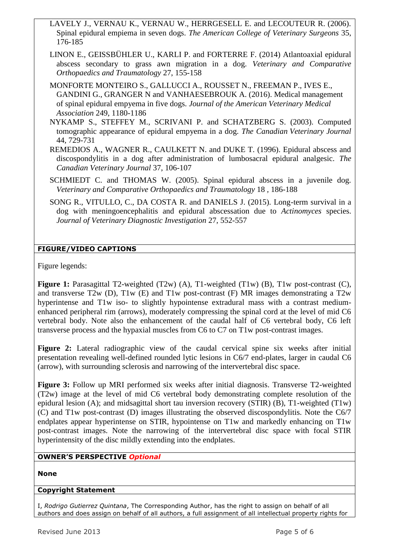- LAVELY J., VERNAU K., VERNAU W., HERRGESELL E. and LECOUTEUR R. (2006). Spinal epidural empiema in seven dogs. *The American College of Veterinary Surgeons* 35, 176-185
- LINON E., GEISSBÜHLER U., KARLI P. and FORTERRE F. (2014) Atlantoaxial epidural abscess secondary to grass awn migration in a dog. *Veterinary and Comparative Orthopaedics and Traumatology* 27, 155-158
- MONFORTE MONTEIRO S., GALLUCCI A., ROUSSET N., FREEMAN P., IVES E., GANDINI G., GRANGER N and VANHAESEBROUK A. (2016). Medical management of spinal epidural empyema in five dogs. *Journal of the American Veterinary Medical Association* 249, 1180-1186
- NYKAMP S., STEFFEY M., SCRIVANI P. and SCHATZBERG S. (2003). Computed tomographic appearance of epidural empyema in a dog. *The Canadian Veterinary Journal*  44, 729-731
- REMEDIOS A., WAGNER R., CAULKETT N. and DUKE T. (1996). Epidural abscess and discospondylitis in a dog after administration of lumbosacral epidural analgesic. *The Canadian Veterinary Journal* 37, 106-107
- SCHMIEDT C. and THOMAS W. (2005). Spinal epidural abscess in a juvenile dog. *Veterinary and Comparative Orthopaedics and Traumatology* 18 *,* 186-188
- SONG R., VITULLO, C., DA COSTA R. and DANIELS J. (2015). Long-term survival in a dog with meningoencephalitis and epidural abscessation due to *Actinomyces* species. *Journal of Veterinary Diagnostic Investigation* 27, 552-557

# **FIGURE/VIDEO CAPTIONS**

Figure legends:

Figure 1: Parasagittal T2-weighted (T2w) (A), T1-weighted (T1w) (B), T1w post-contrast (C), and transverse T2w (D), T1w (E) and T1w post-contrast (F) MR images demonstrating a T2w hyperintense and T1w iso- to slightly hypointense extradural mass with a contrast mediumenhanced peripheral rim (arrows), moderately compressing the spinal cord at the level of mid C6 vertebral body. Note also the enhancement of the caudal half of C6 vertebral body, C6 left transverse process and the hypaxial muscles from C6 to C7 on T1w post-contrast images.

**Figure 2:** Lateral radiographic view of the caudal cervical spine six weeks after initial presentation revealing well-defined rounded lytic lesions in C6/7 end-plates, larger in caudal C6 (arrow), with surrounding sclerosis and narrowing of the intervertebral disc space.

**Figure 3:** Follow up MRI performed six weeks after initial diagnosis. Transverse T2-weighted (T2w) image at the level of mid C6 vertebral body demonstrating complete resolution of the epidural lesion (A); and midsagittal short tau inversion recovery (STIR) (B), T1-weighted (T1w) (C) and T1w post-contrast (D) images illustrating the observed discospondylitis. Note the C6/7 endplates appear hyperintense on STIR, hypointense on T1w and markedly enhancing on T1w post-contrast images. Note the narrowing of the intervertebral disc space with focal STIR hyperintensity of the disc mildly extending into the endplates.

# **OWNER'S PERSPECTIVE** *Optional*

# **None**

# **Copyright Statement**

I, *Rodrigo Gutierrez Quintana*, The Corresponding Author, has the right to assign on behalf of all authors and does assign on behalf of all authors, a full assignment of all intellectual property rights for